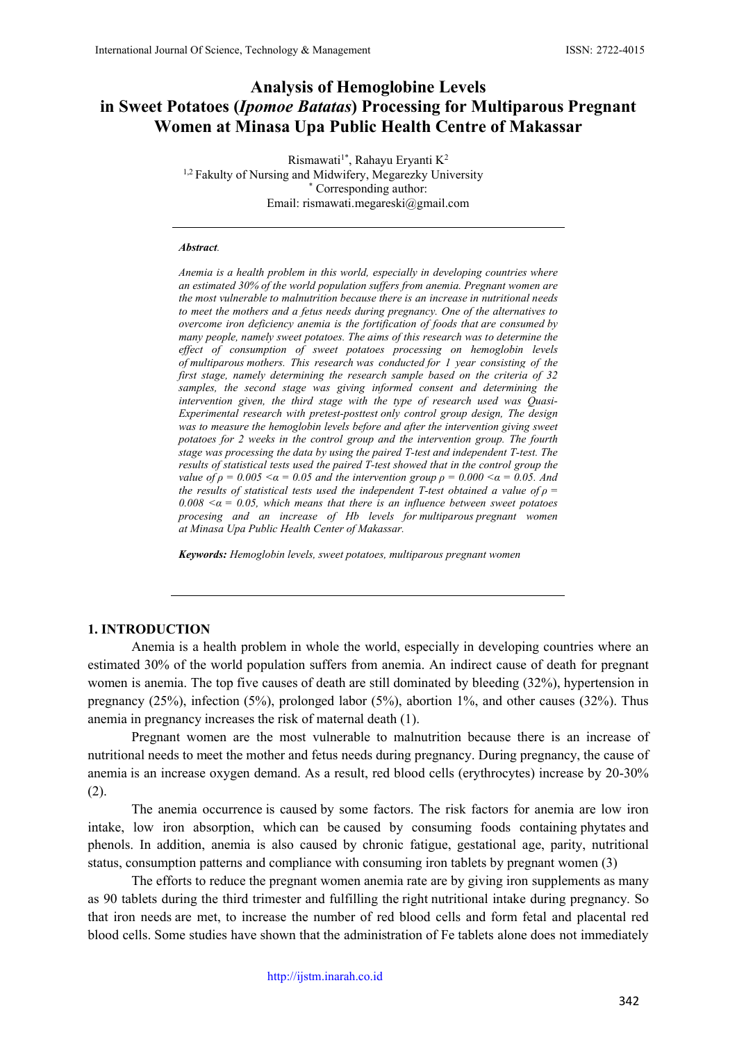# **Analysis of Hemoglobine Levels in Sweet Potatoes (***Ipomoe Batatas***) Processing for Multiparous Pregnant Women at Minasa Upa Public Health Centre of Makassar**

Rismawati<sup>1\*</sup>, Rahayu Eryanti K<sup>2</sup> <sup>1,2</sup> Fakulty of Nursing and Midwifery, Megarezky University Corresponding author: Email: rismawati.megareski@gmail.com

#### *Abstract.*

*Anemia is a health problem in this world, especially in developing countries where an estimated 30% of the world population suffers from anemia. Pregnant women are the most vulnerable to malnutrition because there is an increase in nutritional needs to meet the mothers and a fetus needs during pregnancy. One of the alternatives to overcome iron deficiency anemia is the fortification of foods that are consumed by many people, namely sweet potatoes. The aims of this research was to determine the effect of consumption of sweet potatoes processing on hemoglobin levels of multiparous mothers. This research was conducted for 1 year consisting of the first stage, namely determining the research sample based on the criteria of 32 samples, the second stage was giving informed consent and determining the intervention given, the third stage with the type of research used was Quasi-Experimental research with pretest-posttest only control group design, The design was to measure the hemoglobin levels before and after the intervention giving sweet potatoes for 2 weeks in the control group and the intervention group. The fourth stage was processing the data by using the paired T-test and independent T-test. The results of statistical tests used the paired T-test showed that in the control group the value of*  $\rho = 0.005 \le a = 0.05$  *and the intervention group*  $\rho = 0.000 \le a = 0.05$ *. And the results of statistical tests used the independent T-test obtained a value of*  $\rho$  *=*  $0.008 \le a = 0.05$ , which means that there is an influence between sweet potatoes *procesing and an increase of Hb levels for multiparous pregnant women at Minasa Upa Public Health Center of Makassar.*

*Keywords: Hemoglobin levels, sweet potatoes, multiparous pregnant women*

## **1. INTRODUCTION**

Anemia is a health problem in whole the world, especially in developing countries where an estimated 30% of the world population suffers from anemia. An indirect cause of death for pregnant women is anemia. The top five causes of death are still dominated by bleeding (32%), hypertension in pregnancy (25%), infection (5%), prolonged labor (5%), abortion 1%, and other causes (32%). Thus anemia in pregnancy increases the risk of maternal death (1).

Pregnant women are the most vulnerable to malnutrition because there is an increase of nutritional needs to meet the mother and fetus needs during pregnancy. During pregnancy, the cause of anemia is an increase oxygen demand. As a result, red blood cells (erythrocytes) increase by 20-30% (2).

The anemia occurrence is caused by some factors. The risk factors for anemia are low iron intake, low iron absorption, which can be caused by consuming foods containing phytates and phenols. In addition, anemia is also caused by chronic fatigue, gestational age, parity, nutritional status, consumption patterns and compliance with consuming iron tablets by pregnant women (3)

The efforts to reduce the pregnant women anemia rate are by giving iron supplements as many as 90 tablets during the third trimester and fulfilling the right nutritional intake during pregnancy. So that iron needs are met, to increase the number of red blood cells and form fetal and placental red blood cells. Some studies have shown that the administration of Fe tablets alone does not immediately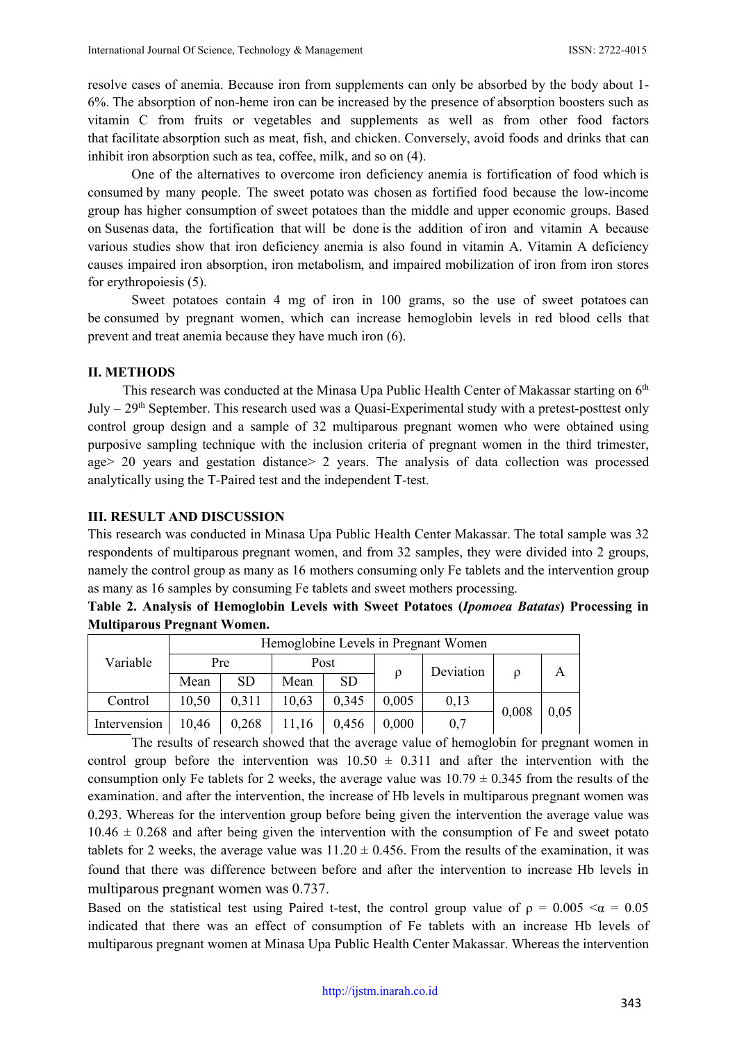resolve cases of anemia. Because iron from supplements can only be absorbed by the body about 1- 6%. The absorption of non-heme iron can be increased by the presence of absorption boosters such as vitamin C from fruits or vegetables and supplements as well as from other food factors that facilitate absorption such as meat, fish, and chicken. Conversely, avoid foods and drinks that can inhibit iron absorption such as tea, coffee, milk, and so on (4).

One of the alternatives to overcome iron deficiency anemia is fortification of food which is consumed by many people. The sweet potato was chosen as fortified food because the low-income group has higher consumption of sweet potatoes than the middle and upper economic groups. Based on Susenas data, the fortification that will be done is the addition of iron and vitamin A because various studies show that iron deficiency anemia is also found in vitamin A. Vitamin A deficiency causes impaired iron absorption, iron metabolism, and impaired mobilization of iron from iron stores for erythropoiesis (5).

Sweet potatoes contain 4 mg of iron in 100 grams, so the use of sweet potatoes can be consumed by pregnant women, which can increase hemoglobin levels in red blood cells that prevent and treat anemia because they have much iron (6).

## **II. METHODS**

This research was conducted at the Minasa Upa Public Health Center of Makassar starting on 6<sup>th</sup> July –  $29<sup>th</sup>$  September. This research used was a Quasi-Experimental study with a pretest-posttest only control group design and a sample of 32 multiparous pregnant women who were obtained using purposive sampling technique with the inclusion criteria of pregnant women in the third trimester, age> 20 years and gestation distance> 2 years. The analysis of data collection was processed analytically using the T-Paired test and the independent T-test.

### **III. RESULT AND DISCUSSION**

This research was conducted in Minasa Upa Public Health Center Makassar. The total sample was 32 respondents of multiparous pregnant women, and from 32 samples, they were divided into 2 groups, namely the control group as many as 16 mothers consuming only Fe tablets and the intervention group as many as 16 samples by consuming Fe tablets and sweet mothers processing.

| Table 2. Analysis of Hemoglobin Levels with Sweet Potatoes (Ipomoea Batatas) Processing in |  |  |  |
|--------------------------------------------------------------------------------------------|--|--|--|
| <b>Multiparous Pregnant Women.</b>                                                         |  |  |  |

| Variable     | Hemoglobine Levels in Pregnant Women |           |       |           |       |           |       |      |  |  |
|--------------|--------------------------------------|-----------|-------|-----------|-------|-----------|-------|------|--|--|
|              | Pre                                  |           | Post  |           |       | Deviation |       | Α    |  |  |
|              | Mean                                 | <b>SD</b> | Mean  | <b>SD</b> |       |           |       |      |  |  |
| Control      | 10,50                                | 0,311     | 10,63 | 0,345     | 0,005 | 0,13      |       | 0,05 |  |  |
| Intervension | 10,46                                | 0,268     | 11,16 | 0,456     | 0,000 | 0,7       | 0,008 |      |  |  |

The results of research showed that the average value of hemoglobin for pregnant women in control group before the intervention was  $10.50 \pm 0.311$  and after the intervention with the consumption only Fe tablets for 2 weeks, the average value was  $10.79 \pm 0.345$  from the results of the examination. and after the intervention, the increase of Hb levels in multiparous pregnant women was 0.293. Whereas for the intervention group before being given the intervention the average value was  $10.46 \pm 0.268$  and after being given the intervention with the consumption of Fe and sweet potato tablets for 2 weeks, the average value was  $11.20 \pm 0.456$ . From the results of the examination, it was found that there was difference between before and after the intervention to increase Hb levels in multiparous pregnant women was 0.737.

Based on the statistical test using Paired t-test, the control group value of  $\rho = 0.005 < \alpha = 0.05$ indicated that there was an effect of consumption of Fe tablets with an increase Hb levels of multiparous pregnant women at Minasa Upa Public Health Center Makassar. Whereas the intervention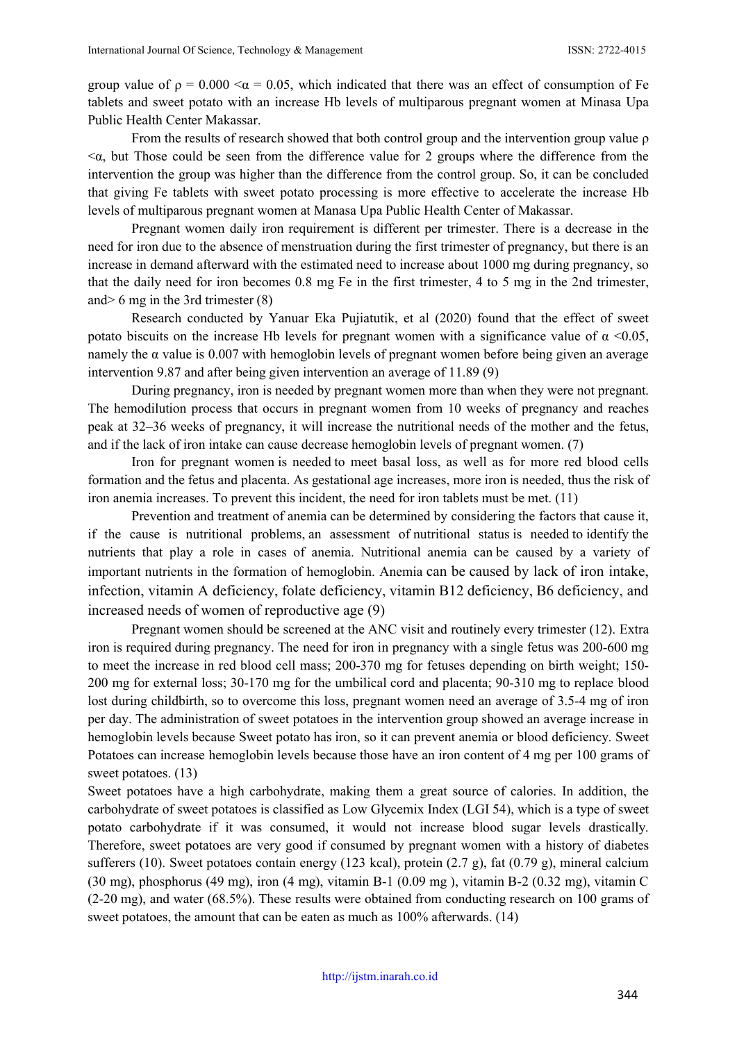group value of  $\rho = 0.000 < \alpha = 0.05$ , which indicated that there was an effect of consumption of Fe tablets and sweet potato with an increase Hb levels of multiparous pregnant women at Minasa Upa Public Health Center Makassar.

From the results of research showed that both control group and the intervention group value  $\rho$  $<\alpha$ , but Those could be seen from the difference value for 2 groups where the difference from the intervention the group was higher than the difference from the control group. So, it can be concluded that giving Fe tablets with sweet potato processing is more effective to accelerate the increase Hb levels of multiparous pregnant women at Manasa Upa Public Health Center of Makassar.

Pregnant women daily iron requirement is different per trimester. There is a decrease in the need for iron due to the absence of menstruation during the first trimester of pregnancy, but there is an increase in demand afterward with the estimated need to increase about 1000 mg during pregnancy, so that the daily need for iron becomes 0.8 mg Fe in the first trimester, 4 to 5 mg in the 2nd trimester, and> 6 mg in the 3rd trimester (8)

Research conducted by Yanuar Eka Pujiatutik, et al (2020) found that the effect of sweet potato biscuits on the increase Hb levels for pregnant women with a significance value of  $\alpha$  <0.05, namely the  $\alpha$  value is 0.007 with hemoglobin levels of pregnant women before being given an average intervention 9.87 and after being given intervention an average of 11.89 (9)

During pregnancy, iron is needed by pregnant women more than when they were not pregnant. The hemodilution process that occurs in pregnant women from 10 weeks of pregnancy and reaches peak at 32–36 weeks of pregnancy, it will increase the nutritional needs of the mother and the fetus, and if the lack of iron intake can cause decrease hemoglobin levels of pregnant women. (7)

Iron for pregnant women is needed to meet basal loss, as well as for more red blood cells formation and the fetus and placenta. As gestational age increases, more iron is needed, thus the risk of iron anemia increases. To prevent this incident, the need for iron tablets must be met. (11)

Prevention and treatment of anemia can be determined by considering the factors that cause it, if the cause is nutritional problems, an assessment of nutritional status is needed to identify the nutrients that play a role in cases of anemia. Nutritional anemia can be caused by a variety of important nutrients in the formation of hemoglobin. Anemia can be caused by lack of iron intake, infection, vitamin A deficiency, folate deficiency, vitamin B12 deficiency, B6 deficiency, and increased needs of women of reproductive age (9)

Pregnant women should be screened at the ANC visit and routinely every trimester (12). Extra iron is required during pregnancy. The need for iron in pregnancy with a single fetus was 200-600 mg to meet the increase in red blood cell mass; 200-370 mg for fetuses depending on birth weight; 150- 200 mg for external loss; 30-170 mg for the umbilical cord and placenta; 90-310 mg to replace blood lost during childbirth, so to overcome this loss, pregnant women need an average of 3.5-4 mg of iron per day. The administration of sweet potatoes in the intervention group showed an average increase in hemoglobin levels because Sweet potato has iron, so it can prevent anemia or blood deficiency. Sweet Potatoes can increase hemoglobin levels because those have an iron content of 4 mg per 100 grams of sweet potatoes. (13)

Sweet potatoes have a high carbohydrate, making them a great source of calories. In addition, the carbohydrate of sweet potatoes is classified as Low Glycemix Index (LGI 54), which is a type of sweet potato carbohydrate if it was consumed, it would not increase blood sugar levels drastically. Therefore, sweet potatoes are very good if consumed by pregnant women with a history of diabetes sufferers (10). Sweet potatoes contain energy (123 kcal), protein (2.7 g), fat (0.79 g), mineral calcium (30 mg), phosphorus (49 mg), iron (4 mg), vitamin B-1 (0.09 mg ), vitamin B-2 (0.32 mg), vitamin C (2-20 mg), and water (68.5%). These results were obtained from conducting research on 100 grams of sweet potatoes, the amount that can be eaten as much as 100% afterwards. (14)